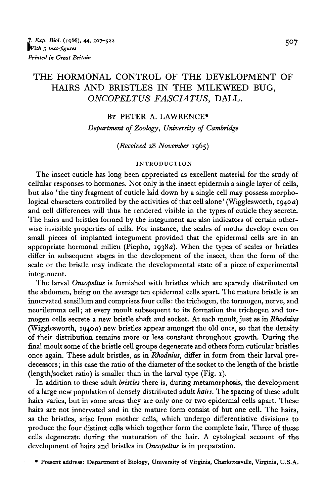# THE HORMONAL CONTROL OF THE DEVELOPMENT OF HAIRS AND BRISTLES IN THE MILKWEED BUG, *ONCOPELTUS FASCIATUS,* DALL.

#### BY PETER A. LAWRENCE\*

*Department of Zoology, University of Cambridge*

#### *(Received* 28 *November* 1965)

#### INTRODUCTION

The insect cuticle has long been appreciated as excellent material for the study of cellular responses to hormones. Not only is the insect epidermis a single layer of cells, but also ' the tiny fragment of cuticle laid down by a single cell may possess morphological characters controlled by the activities of that cell alone' (Wigglesworth, 1940a) and cell differences will thus be rendered visible in the types of cuticle they secrete. The hairs and bristles formed by the integument are also indicators of certain otherwise invisible properties of cells. For instance, the scales of moths develop even on small pieces of implanted integument provided that the epidermal cells are in an appropriate hormonal milieu (Piepho, 1938 a). When the types of scales or bristles differ in subsequent stages in the development of the insect, then the form of the scale or the bristle may indicate the developmental state of a piece of experimental integument.

The larval *Oncopeltus* is furnished with bristles which are sparsely distributed on the abdomen, being on the average ten epidermal cells apart. The mature bristle is an innervated sensillum and comprises four cells: the trichogen, the tormogen, nerve, and neurilemma cell; at every moult subsequent to its formation the trichogen and tormogen cells secrete a new bristle shaft and socket. At each moult, just as in *Rhodmus* (Wigglesworth,  $1940a$ ) new bristles appear amongst the old ones, so that the density of their distribution remains more or less constant throughout growth. During the final moult some of the bristle cell groups degenerate and others form cuticular bristles once again. These adult bristles, as in *Rhodmus,* differ in form from their larval predecessors ; in this case the ratio of the diameter of the socket to the length of the bristle (length/socket ratio) is smaller than in the larval type (Fig. 1).

In addition to these adult *bristles* there is, during metamorphosis, the development of a large new population of densely distributed adult *hairs.* The spacing of these adult hairs varies, but in some areas they are only one or two epidermal cells apart. These hairs are not innervated and in the mature form consist of but one cell. The hairs, as the bristles, arise from mother cells, which undergo differentiative divisions to produce the four distinct cells which together form the complete hair. Three of these cells degenerate during the maturation of the hair. A cytological account of the development of hairs and bristles in *Oncopeltus* is in preparation.

• Present address: Department of Biology, University of Virginia, Charlottesville, Virginia, U.S.A.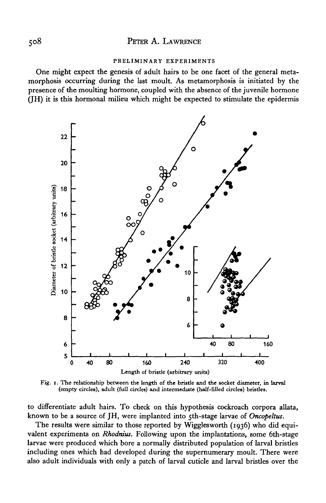#### PRELIMINARY EXPERIMENTS

One might expect the genesis of adult hairs to be one facet of the general metamorphosis occurring during the last moult. As metamorphosis is initiated by the presence of the moulting hormone, coupled with the absence of the juvenile hormone (JH) it is this hormonal milieu which might be expected to stimulate the epidermis



Fig. i. The relationship between the length of the bristle and the socket diameter, in larval (empty circles), adult (full circles) and intermediate (half-filled circles) bristles.

to differentiate adult hairs. To check on this hypothesis cockroach corpora allata, known to be a source of JH, were implanted into 5th-stage larvae of *Oncopeltus.*

The results were similar to those reported by Wigglesworth (1936) who did equivalent experiments on *Rhodnius.* Following upon the implantations, some 6th-stage larvae were produced which bore a normally distributed population of larval bristles including ones which had developed during the supernumerary moult. There were also adult individuals with only a patch of larval cuticle and larval bristles over the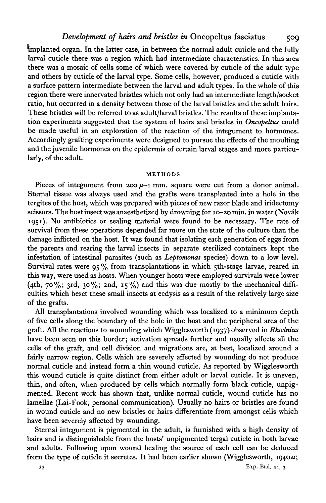implanted organ. In the latter case, in between the normal adult cuticle and the fully larval cuticle there was a region which had intermediate characteristics. In this area there was a mosaic of cells some of which were covered by cuticle of the adult type and others by cuticle of the larval type. Some cells, however, produced a cuticle with a surface pattern intermediate between the larval and adult types. In the whole of this region there were innervated bristles which not only had an intermediate length/socket ratio, but occurred in a density between those of the larval bristles and the adult hairs. These bristles will be referred to as adult/larval bristles. The results of these implantation experiments suggested that the system of hairs and bristles in *Oncopeltus* could be made useful in an exploration of the reaction of the integument to hormones. Accordingly grafting experiments were designed to pursue the effects of the moulting and the juvenile hormones on the epidermis of certain larval stages and more particularly, of the adult.

#### METHODS

Pieces of integument from  $200 \mu - i$  mm. square were cut from a donor animal. Sternal tissue was always used and the grafts were transplanted into a hole in the tergites of the host, which was prepared with pieces of new razor blade and iridectomy scissors. The host insect was anaesthetized by drowning for 10-20 min. in water (Novak 1951). No antibiotics or sealing material were found to be necessary. The rate of survival from these operations depended far more on the state of the culture than the damage inflicted on the host. It was found that isolating each generation of eggs from the parents and rearing the larval insects in separate sterilized containers kept the infestation of intestinal parasites (such as *Leptomonas* species) down to a low level. Survival rates were  $95\%$  from transplantations in which 5th-stage larvae, reared in this way, were used as hosts. When younger hosts were employed survivals were lower (4th, 70%; 3rd, 30%; 2nd, 15%) and this was due mostly to the mechanical difficulties which beset these small insects at ecdysis as a result of the relatively large size of the grafts.

All transplantations involved wounding which was localized to a minimum depth of five cells along the boundary of the hole in the host and the peripheral area of the graft. All the reactions to wounding which Wigglesworth (1937) observed in *Rhodnius* have been seen on this border; activation spreads further and usually affects all the cells of the graft, and cell division and migrations are, at best, localized around a fairly narrow region. Cells which are severely affected by wounding do not produce normal cuticle and instead form a thin wound cuticle. As reported by Wigglesworth this wound cuticle is quite distinct from either adult or larval cuticle. It is uneven, thin, and often, when produced by cells which normally form black cuticle, unpigmented. Recent work has shown that, unlike normal cuticle, wound cuticle has no lamellae (Lai-Fook, personal communication). Usually no hairs or bristles are found in wound cuticle and no new bristles or hairs differentiate from amongst cells which have been severely affected by wounding.

Sternal integument is pigmented in the adult, is furnished with a high density of hairs and is distinguishable from the hosts' unpigmented tergal cuticle in both larvae and adults. Following upon wound healing the source of each cell can be deduced from the type of cuticle it secretes. It had been earlier shown (Wigglesworth, 1940 $a$ ;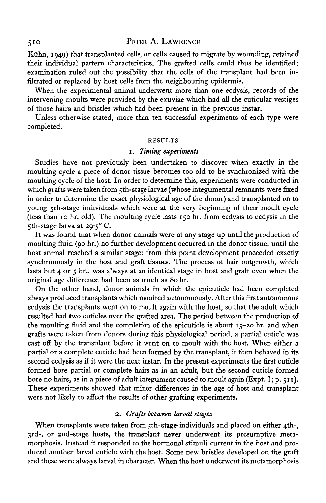Kühn, 1949) that transplanted cells, or cells caused to migrate by wounding, retained their individual pattern characteristics. The grafted cells could thus be identified; examination ruled out the possibility that the cells of the transplant had been infiltrated or replaced by host cells from the neighbouring epidermis.

When the experimental animal underwent more than one ecdysis, records of the intervening moults were provided by the exuviae which had all the cuticular vestiges of those hairs and bristles which had been present in the previous instar.

Unless otherwise stated, more than ten successful experiments of each type were completed.

#### RESULTS

#### 1. *Timing experiments*

Studies have not previously been undertaken to discover when exactly in the moulting cycle a piece of donor tissue becomes too old to be synchronized with the moulting cycle of the host. In order to determine this, experiments were conducted in which grafts were taken from 5th-stage larvae (whose integumental remnants were fixed in order to determine the exact physiological age of the donor) and transplanted on to young 5th-stage individuals which were at the very beginning of their moult cycle (less than 10 hr. old). The moulting cycle lasts 150 hr. from ecdysis to ecdysis in the 5th-stage larva at 29-5° C.

It was found that when donor animals were at any stage up until the production of moulting fluid (90 hr.) no further development occurred in the donor tissue, until the host animal reached a similar stage; from this point development proceeded exactly synchronously in the host and graft tissues. The process of hair outgrowth, which lasts but  $4$  or  $5$  hr., was always at an identical stage in host and graft even when the original age difference had been as much as 80 hr.

On the other hand, donor animals in which the epicuticle had been completed always produced transplants which moulted autonomously. After this first autonomous ecdysis the transplants went on to moult again with the host, so that the adult which resulted had two cuticles over the grafted area. The period between the production of the moulting fluid and the completion of the epicuticle is about  $15-20$  hr. and when grafts were taken from donors during this physiological period, a partial cuticle was cast off by the transplant before it went on to moult with the host. When either a partial or a complete cuticle had been formed by the transplant, it then behaved in its second ecdysis as if it were the next instar. In the present experiments the first cuticle formed bore partial or complete hairs as in an adult, but the second cuticle formed bore no hairs, as in a piece of adult integument caused to moult again (Expt. I; p. 511). These experiments showed that minor differences in the age of host and transplant were not likely to affect the results of other grafting experiments.

#### 2. *Grafts between larval stages*

When transplants were taken from  $\tau$ th-stage individuals and placed on either 4th-, 3rd-, or 2nd-stage hosts, the transplant never underwent its presumptive metamorphosis. Instead it responded to the hormonal stimuli current in the host and produced another larval cuticle with the host. Some new bristles developed on the graft and these were always larval in character. When the host underwent its metamorphosis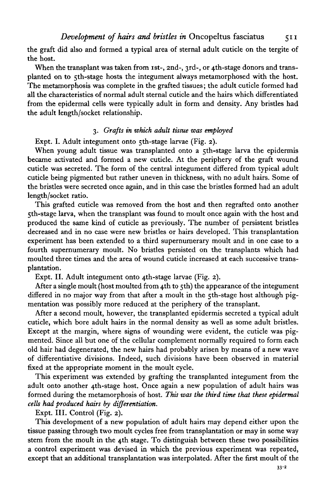the graft did also and formed a typical area of sternal adult cuticle on the tergite of the host.

When the transplant was taken from 1st-, 2nd-, 3rd-, or 4th-stage donors and transplanted on to 5th-stage hosts the integument always metamorphosed with the host. The metamorphosis was complete in the grafted tissues; the adult cuticle formed had all the characteristics of normal adult sternal cuticle and the hairs which differentiated from the epidermal cells were typically adult in form and density. Any bristles had the adult length/socket relationship.

## 3. *Grafts in which adult tissue was employed*

Expt. I. Adult integument onto 5th-stage larvae (Fig. 2).

When young adult tissue was transplanted onto a 5th-stage larva the epidermis became activated and formed a new cuticle. At the periphery of the graft wound cuticle was secreted. The form of the central integument differed from typical adult cuticle being pigmented but rather uneven in thickness, with no adult hairs. Some of the bristles were secreted once again, and in this case the bristles formed had an adult length/socket ratio.

This grafted cuticle was removed from the host and then regrafted onto another 5th-stage larva, when the transplant was found to moult once again with the host and produced the same kind of cuticle as previously. The number of persistent bristles decreased and in no case were new bristles or hairs developed. This transplantation experiment has been extended to a third supernumerary moult and in one case to a fourth supernumerary moult. No bristles persisted on the transplants which had moulted three times and the area of wound cuticle increased at each successive transplantation.

Expt. II. Adult integument onto 4th-stage larvae (Fig. 2).

After a single moult (host moulted from 4th to 5th) the appearance of the integument differed in no major way from that after a moult in the 5th-stage host although pigmentation was possibly more reduced at the periphery of the transplant.

After a second moult, however, the transplanted epidermis secreted a typical adult cuticle, which bore adult hairs in the normal density as well as some adult bristles. Except at the margin, where signs of wounding were evident, the cuticle was pigmented. Since all but one of the cellular complement normally required to form each old hair had degenerated, the new hairs had probably arisen by means of a new wave of differentiative divisions. Indeed, such divisions have been observed in material fixed at the appropriate moment in the moult cycle.

This experiment was extended by grafting the transplanted integument from the adult onto another 4th-stage host. Once again a new population of adult hairs was formed during the metamorphosis of host. *This was the third time that these epidermal cells had produced hairs by differentiation.*

Expt. III. Control (Fig. 2).

This development of a new population of adult hairs may depend either upon the tissue passing through two moult cycles free from transplantation or may in some way stem from the moult in the 4th stage. To distinguish between these two possibilities a control experiment was devised in which the previous experiment was repeated, except that an additional transplantation was interpolated. After the first moult of the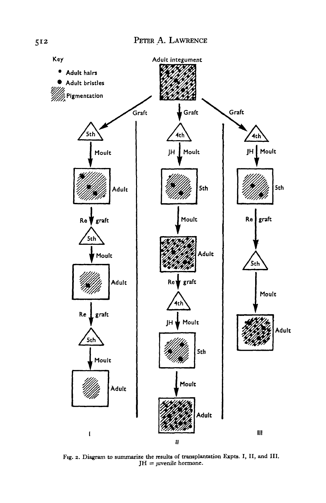

**Fig. 2. Diagram to summarize the results of transplantation Expts. I, II, and III. JH = juvenile hormone.**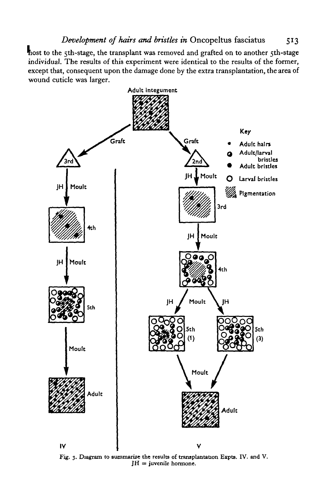host to the 5th-stage, the transplant was removed and grafted on to another 5th-stage individual. The results of this experiment were identical to the results of the former, except that, consequent upon the damage done by the extra transplantation, the area of wound cuticle was larger.



**Fig. 3. Diagram to summarize the results of transplantation Expts. IV. and V. JH = juvenile hormone.**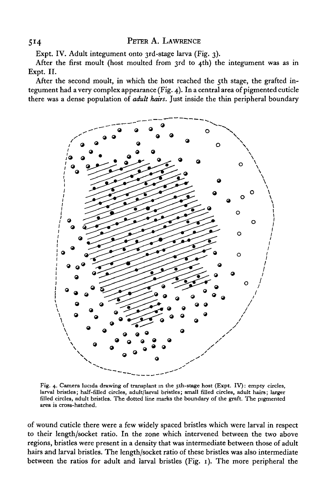Expt. IV. Adult integument onto 3rd-stage larva (Fig. 3).

After the first moult (host moulted from 3rd to 4th) the integument was as in Expt. II.

After the second moult, in which the host reached the 5th stage, the grafted integument had a very complex appearance (Fig. 4). In a central area of pigmented cuticle there was a dense population of *adult hairs.* Just inside the thin peripheral boundary



Fig. 4. Camera lucida drawing of transplant in the 5th-stage host (Expt. IV): empty circles, larval bristles; half-filled circles, adult/larval bristles; small filled circles, adult hairs; larger filled circles, adult bris

of wound cuticle there were a few widely spaced bristles which were larval in respect to their length/socket ratio. In the zone which intervened between the two above regions, bristles were present in a density that was intermediate between those of adult hairs and larval bristles. The length/socket ratio of these bristles was also intermediate between the ratios for adult and larval bristles (Fig. 1). The more peripheral the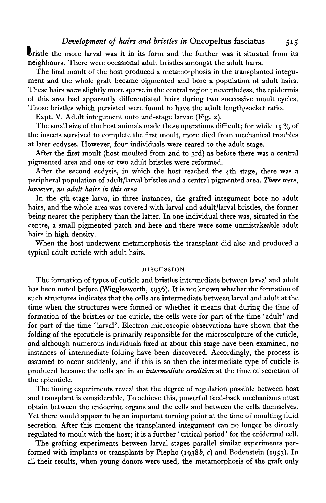*Development of hairs and bristles in* Oncopeltus fasciatus 515

bristle the more larval was it in its form and the further was it situated from its neighbours. There were occasional adult bristles amongst the adult hairs.

The final moult of the host produced a metamorphosis in the transplanted integument and the whole graft became pigmented and bore a population of adult hairs. These hairs were slightly more sparse in the central region; nevertheless, the epidermis of this area had apparently differentiated hairs during two successive moult cycles. Those bristles which persisted were found to have the adult length/socket ratio.

Expt. V. Adult integument onto 2nd-stage larvae (Fig. 2).

The small size of the host animals made these operations difficult; for while  $15\%$  of the insects survived to complete the first moult, more died from mechanical troubles at later ecdyses. However, four individuals were reared to the adult stage.

After the first moult (host moulted from 2nd to 3rd) as before there was a central pigmented area and one or two adult bristles were reformed.

After the second ecdysis, in which the host reached the 4th stage, there was a peripheral population of adult/larval bristles and a central pigmented area. *There were, however, no adult hairs in this area.*

In the 5th-stage larva, in three instances, the grafted integument bore no adult hairs, and the whole area was covered with larval and adult/larval bristles, the former being nearer the periphery than the latter. In one individual there was, situated in the centre, a small pigmented patch and here and there were some unmistakeable adult hairs in high density.

When the host underwent metamorphosis the transplant did also and produced a typical adult cuticle with adult hairs.

#### DISCUSSION

The formation of types of cuticle and bristles intermediate between larval and adult has been noted before (Wigglesworth, 1936). It is not known whether the formation of such structures indicates that the cells are intermediate between larval and adult at the time when the structures were formed or whether it means that during the time of formation of the bristles or the cuticle, the cells were for part of the time 'adult' and for part of the time 'larval'. Electron microscopic observations have shown that the folding of the epicuticle is primarily responsible for the microsculpture of the cuticle, and although numerous individuals fixed at about this stage have been examined, no instances of intermediate folding have been discovered. Accordingly, the process is assumed to occur suddenly, and if this is so then the intermediate type of cuticle is produced because the cells are in an *intermediate condition* at the time of secretion of the epicuticle.

The timing experiments reveal that the degree of regulation possible between host and transplant is considerable. To achieve this, powerful feed-back mechanisms must obtain between the endocrine organs and the cells and between the cells themselves. Yet there would appear to be an important turning point at the time of moulting fluid secretion. After this moment the transplanted integument can no longer be directly regulated to moult with the host; it is a further ' critical period' for the epidermal cell.

The grafting experiments between larval stages parallel similar experiments performed with implants or transplants by Piepho (1938b, c) and Bodenstein (1953). In all their results, when young donors were used, the metamorphosis of the graft only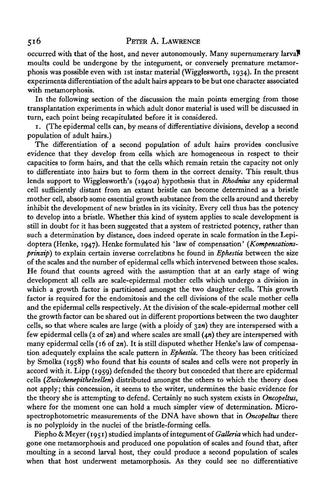occurred with that of the host, and never autonomously. Many supernumerary larva? moults could be undergone by the integument, or conversely premature metamorphosis was possible even with ist instar material (Wigglesworth, 1934). In the present experiments differentiation of the adult hairs appears to be but one character associated with metamorphosis.

In the following section of the discussion the main points emerging from those transplantation experiments in which adult donor material is used will be discussed in turn, each point being recapitulated before it is considered.

1. (The epidermal cells can, by means of differentiative divisions, develop a second population of adult hairs.)

The differentiation of a second population of adult hairs provides conclusive evidence that they develop from cells which are homogeneous in respect to their capacities to form hairs, and that the cells which remain retain the capacity not only to differentiate into hairs but to form them in the correct density. This result, thus lends support to Wigglesworth's (1940 a) hypothesis that in *Rhodmus* any epidermal cell sufficiently distant from an extant bristle can become determined as a bristle mother cell, absorb some essential growth substance from the cells around and thereby inhibit the development of new bristles in its vicinity. Every cell thus has the potency to develop into a bristle. Whether this kind of system applies to scale development is still in doubt for it has been suggested that a system of restricted potency, rather than such a determination by distance, does indeed operate in scale formation in the Lepidoptera (Henke, 1947). Henke formulated his 'law of compensation' *(Kompensationsprinzip)* to explain certain inverse correlations he found in *Ephestia* between the size of the scales and the number of epidermal cells which intervened between those scales. He found that counts agreed with the assumption that at an early stage of wing development all cells are scale-epidermal mother cells which undergo a division in which a growth factor is partitioned amongst the two daughter cells. This growth factor is required for the endomitosis and the cell divisions of the scale mother cells and the epidermal cells respectively. At the division of the scale-epidermal mother cell the growth factor can be shared out in different proportions between the two daughter cells, so that where scales are large (with a ploidy of  $32n$ ) they are interspersed with a few epidermal cells ( $2$  of  $2n$ ) and where scales are small  $(4n)$  they are interspersed with many epidermal cells (16 of  $2n$ ). It is still disputed whether Henke's law of compensation adequately explains the scale pattern in *Ephestia.* The theory has been criticized by Smolka (1958) who found that his counts of scales and cells were not properly in accord with it. Lipp (1959) defended the theory but conceded that there are epidermal cells *(Zwischenepithelzellen)* distributed amongst the others to which the theory does not apply; this concession, it seems to the writer, undermines the basic evidence for the theory she is attempting to defend. Certainly no such system exists in *Oncopeltus,* where for the moment one can hold a much simpler view of determination. Microspectrophotometric measurements of the DNA have shown that in *Oncopeltus* there is no polyploidy in the nuclei of the bristle-forming cells.

Piepho & Meyer (1951) studied implants of integument of *Galleria* which had undergone one metamorphosis and produced one population of scales and found that, after moulting in a second larval host, they could produce a second population of scales when that host underwent metamorphosis. As they could see no differentiative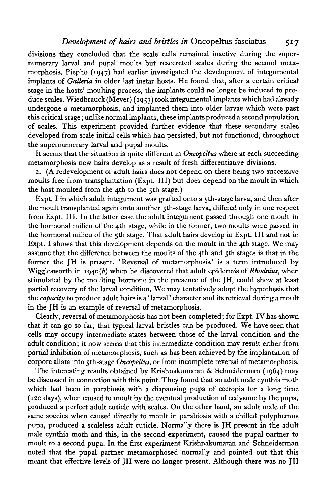## *Development of hairs and bristles in* Oncopeltus fasciatus 517

divisions they concluded that the scale cells remained inactive during the supernumerary larval and pupal moults but resecreted scales during the second metamorphosis. Piepho (1947) had earlier investigated the development of integumental implants of *Galleria* in older last instar hosts. He found that, after a certain critical stage in the hosts' moulting process, the implants could no longer be induced to produce scales. Wiedbrauck (Meyer) (1953) took integumental implants which had already undergone a metamorphosis, and implanted them into older larvae which were past this critical stage; unlike normal implants, these implants produced a second population of scales. This experiment provided further evidence that these secondary scales developed from scale initial cells which had persisted, but not functioned, throughout the supernumerary larval and pupal moults.

It seems that the situation is quite different in *Oncopeltus* where at each succeeding metamorphosis new hairs develop as a result of fresh differentiative divisions.

2. (A redevelopment of adult hairs does not depend on there being two successive moults free from transplantation (Expt. Ill) but does depend on the moult in which the host moulted from the 4th to the  $5$ th stage.)

Expt. I in which adult integument was grafted onto a 5th-stage larva, and then after the moult transplanted again onto another 5th-stage larva, differed only in one respect from Expt. III. In the latter case the adult integument passed through one moult in the hormonal milieu of the 4th stage, while in the former, two moults were passed in the hormonal milieu of the 5th stage. That adult hairs develop in Expt. Ill and not in Expt. I shows that this development depends on the moult in the 4th stage. We may assume that the difference between the moults of the 4th and 5th stages is that in the former the JH is present. 'Reversal of metamorphosis' is a term introduced by Wigglesworth in 1940(6) when he discovered that adult epidermis of *Rhodnius,* when stimulated by the moulting hormone in the presence of the JH, could show at least partial recovery of the larval condition. We may tentatively adopt the hypothesis that the *capacity* to produce adult hairs is a' larval' character and its retrieval during a moult in the JH is an example of reversal of metamorphosis.

Clearly, reversal of metamorphosis has not been completed; for Expt. IV has shown that it can go so far, that typical larval bristles can be produced. We have seen that cells may occupy intermediate states between those of the larval condition and the adult condition; it now seems that this intermediate condition may result either from partial inhibition of metamorphosis, such as has been achieved by the implantation of corpora allata into 5th-stage *Oncopeltus,* or from incomplete reversal of metamorphosis.

The interesting results obtained by Krishnakumaran & Schneiderman (1964) may be discussed in connection with this point. They found that an adult male cynthia moth which had been in parabiosis with a diapausing pupa of cecropia for a long time (120 days), when caused to moult by the eventual production of ecdysone by the pupa, produced a perfect adult cuticle with scales. On the other hand, an adult male of the same species when caused directly to moult in parabiosis with a chilled polyphemus pupa, produced a scaleless adult cuticle. Normally there is JH present in the adult male cynthia moth and this, in the second experiment, caused the pupal partner to moult to a second pupa. In the first experiment Krishnakumaran and Schneiderman noted that the pupal partner metamorphosed normally and pointed out that this meant that effective levels of JH were no longer present. Although there was no JH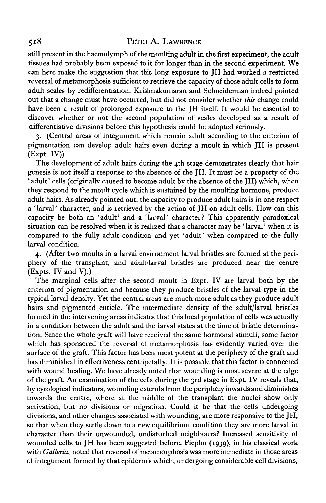still present in the haemolymph of the moulting adult in the first experiment, the adult tissues had probably been exposed to it for longer than in the second experiment. We can here make the suggestion that this long exposure to JH had worked a restricted reversal of metamorphosis sufficient to retrieve the capacity of those adult cells to form adult scales by redifferentiation. Krishnakumaran and Schneiderman indeed pointed out that a change must have occurred, but did not consider whether *this* change could have been a result of prolonged exposure to the JH itself. It would be essential to discover whether or not the second population of scales developed as a result of differentiative divisions before this hypothesis could be adopted seriously.

3. (Central areas of integument which remain adult according to the criterion of pigmentation can develop adult hairs even during a moult in which JH is present (Expt. IV)).

The development of adult hairs during the 4th stage demonstrates clearly that hair genesis is not itself a response to the absence of the JH. It must be a property of the ' adult' cells (originally caused to become adult by the absence of the JH) which, when they respond to the moult cycle which is sustained by the moulting hormone, produce adult hairs. As already pointed out, the capacity to produce adult hairs is in one respect a ' larval' character, and is retrieved by the action of JH on adult cells. How can this capacity be both an 'adult' and a 'larval' character? This apparently paradoxical situation can be resolved when it is realized that a character may be ' larval' when it is compared to the fully adult condition and yet 'adult' when compared to the fully larval condition.

4. (After two moults in a larval environment larval bristles are formed at the periphery of the transplant, and adult/larval bristles are produced near the centre (Expts. IV and V).)

The marginal cells after the second moult in Expt. IV are larval both by the criterion of pigmentation and because they produce bristles of the larval type in the typical larval density. Yet the central areas are much more adult as they produce adult hairs and pigmented cuticle. The intermediate density of the adult/larval bristles formed in the intervening areas indicates that this local population of cells was actually in a condition between the adult and the larval states at the time of bristle determination. Since the whole graft will have received the same hormonal stimuli, some factor which has sponsored the reversal of metamorphosis has evidently varied over the surface of the graft. This factor has been most potent at the periphery of the graft and has diminished in effectiveness centripetally. It is possible that this factor is connected with wound healing. We have already noted that wounding is most severe at the edge of the graft. An examination of the cells during the 3rd stage in Expt. IV reveals that, by cytological indicators, wounding extends from the periphery inwards and diminishes towards the centre, where at the middle of the transplant the nuclei show only activation, but no divisions or migration. Could it be that the cells undergoing divisions, and other changes associated with wounding, are more responsive to the JH, so that when they settle down to a new equilibrium condition they are more larval in character than their unwounded, undisturbed neighbours? Increased sensitivity of wounded cells to JH has been suggested before. Piepho (1939), in his classical work with *Galleria,* noted that reversal of metamorphosis was more immediate in those areas of integument formed by that epidermis which, undergoing considerable cell divisions,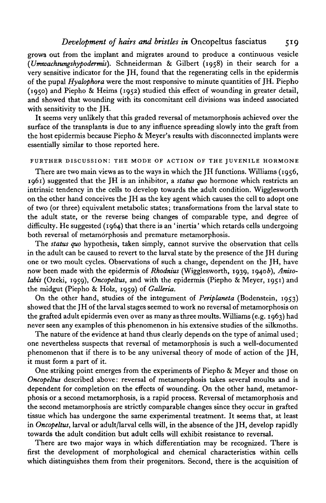grows out from the implant and migrates around to produce a continuous vesicle *(TJmwachsungshypodermis).* Schneiderman & Gilbert (1958) in their search for a very sensitive indicator for the JH, found that the regenerating cells in the epidermis of the pupal *Hyalophora* were the most responsive to minute quantities of JH. Piepho (1950) and Piepho & Heims (1952) studied this effect of wounding in greater detail, and showed that wounding with its concomitant cell divisions was indeed associated with sensitivity to the JH.

It seems very unlikely that this graded reversal of metamorphosis achieved over the surface of the transplants is due to any influence spreading slowly into the graft from the host epidermis because Piepho & Meyer's results with disconnected implants were essentially similar to those reported here.

#### FURTHER DISCUSSION: THE MODE OF ACTION OF THE JUVENILE HORMONE

There are two main views as to the ways in which the JH functions. Williams (1956, 1961) suggested that the JH is an inhibitor, a *status quo* hormone which restricts an intrinsic tendency in the cells to develop towards the adult condition. Wigglesworth on the other hand conceives the JH as the key agent which causes the cell to adopt one of two (or three) equivalent metabolic states; transformations from the larval state to the adult state, or the reverse being changes of comparable type, and degree of difficulty. He suggested  $(1964)$  that there is an 'inertia' which retards cells undergoing both reversal of metamorphosis and premature metamorphosis.

The *status quo* hypothesis, taken simply, cannot survive the observation that cells in the adult can be caused to revert to the larval state by the presence of the JH during one or two moult cycles. Observations of such a change, dependent on the JH, have now been made with the epidermis of *Rhodnius* (Wigglesworth, 1939, 19406), *Anisolabis* (Ozeki, 1959), *Oncopeltus,* and with the epidermis (Piepho & Meyer, 1951) and the midgut (Piepho & Holz, 1959) of *Galleria.*

On the other hand, studies of the integument of *Periplaneta* (Bodenstein, 1953) showed that the JH of the larval stages seemed to work no reversal of metamorphosis on the grafted adult epidermis even over as many as three moults. Williams (e.g. 1963) had never seen any examples of this phenomenon in his extensive studies of the silkmoths.

The nature of the evidence at hand thus clearly depends on the type of animal used; one nevertheless suspects that reversal of metamorphosis is such a well-documented phenomenon that if there is to be any universal theory of mode of action of the JH, it must form a part of it.

One striking point emerges from the experiments of Piepho & Meyer and those on *Oncopeltus* described above: reversal of metamorphosis takes several moults and is dependent for completion on the effects of wounding. On the other hand, metamorphosis or a second metamorphosis, is a rapid process. Reversal of metamorphosis and the second metamorphosis are strictly comparable changes since they occur in grafted tissue which has undergone the same experimental treatment. It seems that, at least in *Oncopeltus,* larval or adult/larval cells will, in the absence of the JH, develop rapidly towards the adult condition but adult cells will exhibit resistance to reversal.

There are two major ways in which differentiation may be recognized. There is first the development of morphological and chemical characteristics within cells which distinguishes them from their progenitors. Second, there is the acquisition of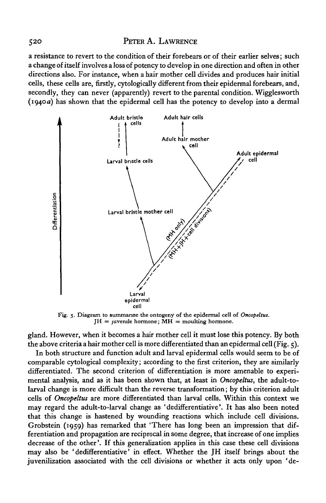a resistance to revert to the condition of their forebears or of their earlier selves; such a change of itself involves a loss of potency to develop in one direction and often in other directions also. For instance, when a hair mother cell divides and produces hair initial cells, these cells are, firstly, cytologically different from their epidermal forebears, and, secondly, they can never (apparently) revert to the parental condition. Wigglesworth (1940 a) has shown that the epidermal cell has the potency to develop into a dermal



Fig. 5. Diagram to summarize the ontogeny of the epidermal cell of *Oncopeltus.*  $JH =$  juvenile hormone;  $\overline{MH} =$  moulting hormone.

gland. However, when it becomes a hair mother cell it must lose this potency. By both the above criteria a hair mother cell is more differentiated than an epidermal cell (Fig.  $\zeta$ ).

In both structure and function adult and larval epidermal cells would seem to be of comparable cytological complexity; according to the first criterion, they are similarly differentiated. The second criterion of differentiation is more amenable to experimental analysis, and as it has been shown that, at least in *Oncopeltus,* the adult-tolarval change is more difficult than the reverse transformation; by this criterion adult cells of *Oncopeltus* are more differentiated than larval cells. Within this context we may regard the adult-to-larval change as 'dedifferentiative'. It has also been noted that this change is hastened by wounding reactions which include cell divisions. Grobstein (1959) has remarked that 'There has long been an impression that differentiation and propagation are reciprocal in some degree, that increase of one implies decrease of the other'. If this generalization applies in this case these cell divisions may also be 'dedifferentiative' in effect. Whether the JH itself brings about the juvenilization associated with the cell divisions or whether it acts only upon 'de-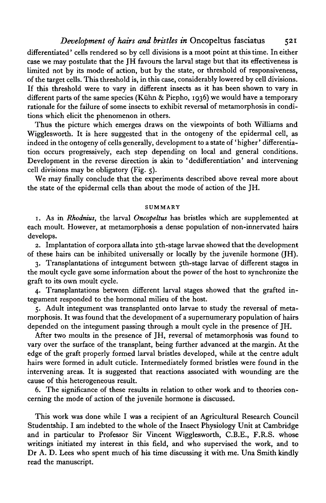### *Development of hairs and bristles in* Oncopeltus fasciatus 521

differentiated' cells rendered so by cell divisions is a moot point at this time. In either case we may postulate that the JH favours the larval stage but that its effectiveness is limited not by its mode of action, but by the state, or threshold of responsiveness, of the target cells. This threshold is, in this case, considerably lowered by cell divisions. If this threshold were to vary in different insects as it has been shown to vary in different parts of the same species (Kühn & Piepho, 1936) we would have a temporary rationale for the failure of some insects to exhibit reversal of metamorphosis in conditions which elicit the phenomenon in others.

Thus the picture which emerges draws on the viewpoints of both Williams and Wigglesworth. It is here suggested that in the ontogeny of the epidermal cell, as indeed in the ontogeny of cells generally, development to a state of' higher' differentiation occurs progressively, each step depending on local and general conditions. Development in the reverse direction is akin to 'dedifferentiation' and intervening cell divisions may be obligatory (Fig. 5).

We may finally conclude that the experiments described above reveal more about the state of the epidermal cells than about the mode of action of the JH.

#### SUMMARY

1. As in *Rhodnius,* the larval *Oncopeltus* has bristles which are supplemented at each moult. However, at metamorphosis a dense population of non-innervated hairs develops.

2. Implantation of corpora allata into 5th-stage larvae showed that the development of these hairs can be inhibited universally or locally by the juvenile hormone (JH).

3. Transplantations of integument between 5th-stage larvae of different stages in the moult cycle gave some information about the power of the host to synchronize the graft to its own moult cycle.

4. Transplantations between different larval stages showed that the grafted integument responded to the hormonal milieu of the host.

5. Adult integument was transplanted onto larvae to study the reversal of metamorphosis. It was found that the development of a supernumerary population of hairs depended on the integument passing through a moult cycle in the presence of JH.

After two moults in the presence of JH, reversal of metamorphosis was found to vary over the surface of the transplant, being further advanced at the margin. At the edge of the graft properly formed larval bristles developed, while at the centre adult hairs were formed in adult cuticle. Intermediately formed bristles were found in the intervening areas. It is suggested that reactions associated with wounding are the cause of this heterogeneous result.

6. The significance of these results in relation to other work and to theories concerning the mode of action of the juvenile hormone is discussed.

This work was done while I was a recipient of an Agricultural Research Council Studentship. I am indebted to the whole of the Insect Physiology Unit at Cambridge and in particular to Professor Sir Vincent Wigglesworth, C.B.E., F.R.S. whose writings initiated my interest in this field, and who supervised the work, and to Dr A. D. Lees who spent much of his time discussing it with me. Una Smith kindly read the manuscript.